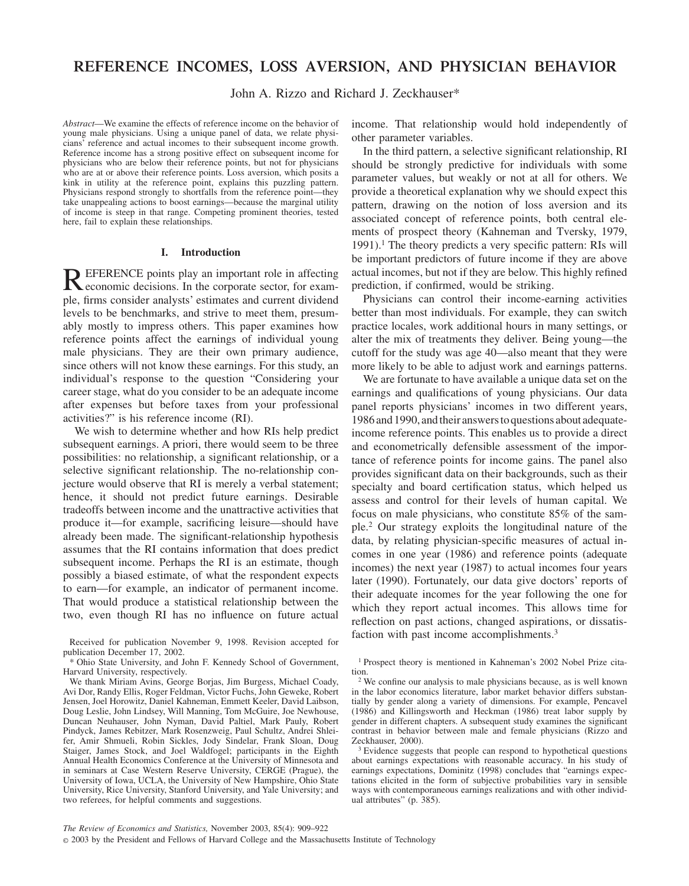# **REFERENCE INCOMES, LOSS AVERSION, AND PHYSICIAN BEHAVIOR**

John A. Rizzo and Richard J. Zeckhauser\*

*Abstract*—We examine the effects of reference income on the behavior of young male physicians. Using a unique panel of data, we relate physicians' reference and actual incomes to their subsequent income growth. Reference income has a strong positive effect on subsequent income for physicians who are below their reference points, but not for physicians who are at or above their reference points. Loss aversion, which posits a kink in utility at the reference point, explains this puzzling pattern. Physicians respond strongly to shortfalls from the reference point—they take unappealing actions to boost earnings—because the marginal utility of income is steep in that range. Competing prominent theories, tested here, fail to explain these relationships.

### **I. Introduction**

REFERENCE points play an important role in affecting<br>economic decisions. In the corporate sector, for example, firms consider analysts' estimates and current dividend levels to be benchmarks, and strive to meet them, presumably mostly to impress others. This paper examines how reference points affect the earnings of individual young male physicians. They are their own primary audience, since others will not know these earnings. For this study, an individual's response to the question "Considering your career stage, what do you consider to be an adequate income after expenses but before taxes from your professional activities?" is his reference income (RI).

We wish to determine whether and how RIs help predict subsequent earnings. A priori, there would seem to be three possibilities: no relationship, a significant relationship, or a selective significant relationship. The no-relationship conjecture would observe that RI is merely a verbal statement; hence, it should not predict future earnings. Desirable tradeoffs between income and the unattractive activities that produce it—for example, sacrificing leisure—should have already been made. The significant-relationship hypothesis assumes that the RI contains information that does predict subsequent income. Perhaps the RI is an estimate, though possibly a biased estimate, of what the respondent expects to earn—for example, an indicator of permanent income. That would produce a statistical relationship between the two, even though RI has no influence on future actual

Received for publication November 9, 1998. Revision accepted for publication December 17, 2002.

\* Ohio State University, and John F. Kennedy School of Government, Harvard University, respectively.

We thank Miriam Avins, George Borjas, Jim Burgess, Michael Coady, Avi Dor, Randy Ellis, Roger Feldman, Victor Fuchs, John Geweke, Robert Jensen, Joel Horowitz, Daniel Kahneman, Emmett Keeler, David Laibson, Doug Leslie, John Lindsey, Will Manning, Tom McGuire, Joe Newhouse, Duncan Neuhauser, John Nyman, David Paltiel, Mark Pauly, Robert Pindyck, James Rebitzer, Mark Rosenzweig, Paul Schultz, Andrei Shleifer, Amir Shmueli, Robin Sickles, Jody Sindelar, Frank Sloan, Doug Staiger, James Stock, and Joel Waldfogel; participants in the Eighth Annual Health Economics Conference at the University of Minnesota and in seminars at Case Western Reserve University, CERGE (Prague), the University of Iowa, UCLA, the University of New Hampshire, Ohio State University, Rice University, Stanford University, and Yale University; and two referees, for helpful comments and suggestions.

income. That relationship would hold independently of other parameter variables.

In the third pattern, a selective significant relationship, RI should be strongly predictive for individuals with some parameter values, but weakly or not at all for others. We provide a theoretical explanation why we should expect this pattern, drawing on the notion of loss aversion and its associated concept of reference points, both central elements of prospect theory (Kahneman and Tversky, 1979,  $1991$ .<sup>1</sup> The theory predicts a very specific pattern: RIs will be important predictors of future income if they are above actual incomes, but not if they are below. This highly refined prediction, if confirmed, would be striking.

Physicians can control their income-earning activities better than most individuals. For example, they can switch practice locales, work additional hours in many settings, or alter the mix of treatments they deliver. Being young—the cutoff for the study was age 40—also meant that they were more likely to be able to adjust work and earnings patterns.

We are fortunate to have available a unique data set on the earnings and qualifications of young physicians. Our data panel reports physicians' incomes in two different years, 1986 and 1990, and their answers to questions about adequateincome reference points. This enables us to provide a direct and econometrically defensible assessment of the importance of reference points for income gains. The panel also provides significant data on their backgrounds, such as their specialty and board certification status, which helped us assess and control for their levels of human capital. We focus on male physicians, who constitute 85% of the sample.2 Our strategy exploits the longitudinal nature of the data, by relating physician-specific measures of actual incomes in one year (1986) and reference points (adequate incomes) the next year (1987) to actual incomes four years later (1990). Fortunately, our data give doctors' reports of their adequate incomes for the year following the one for which they report actual incomes. This allows time for reflection on past actions, changed aspirations, or dissatisfaction with past income accomplishments.3

<sup>1</sup> Prospect theory is mentioned in Kahneman's 2002 Nobel Prize citation.

<sup>2</sup> We confine our analysis to male physicians because, as is well known in the labor economics literature, labor market behavior differs substantially by gender along a variety of dimensions. For example, Pencavel (1986) and Killingsworth and Heckman (1986) treat labor supply by gender in different chapters. A subsequent study examines the significant contrast in behavior between male and female physicians (Rizzo and Zeckhauser, 2000).

<sup>&</sup>lt;sup>3</sup> Evidence suggests that people can respond to hypothetical questions about earnings expectations with reasonable accuracy. In his study of earnings expectations, Dominitz (1998) concludes that "earnings expectations elicited in the form of subjective probabilities vary in sensible ways with contemporaneous earnings realizations and with other individual attributes" (p. 385).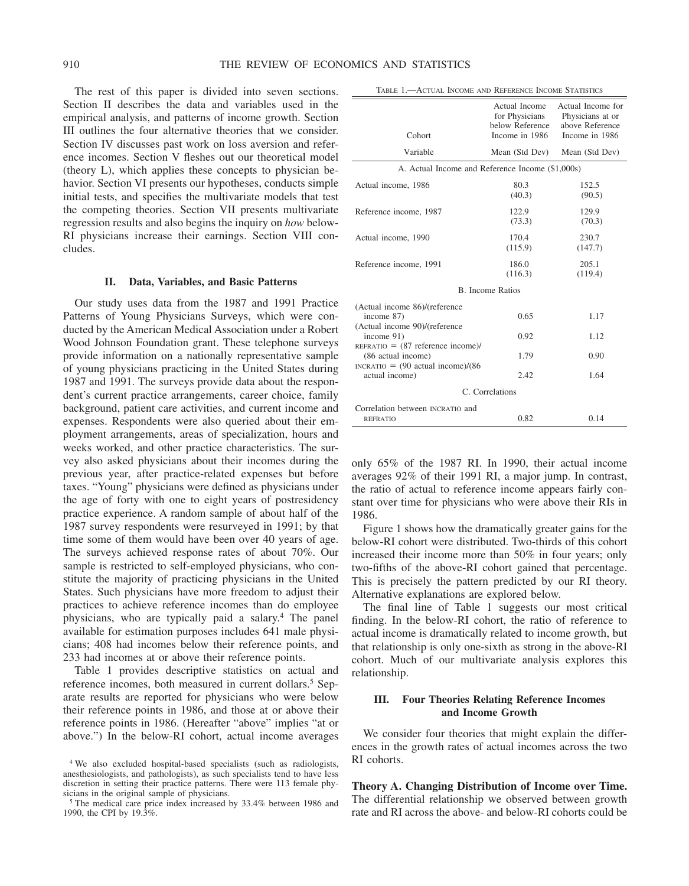### 910 THE REVIEW OF ECONOMICS AND STATISTICS

The rest of this paper is divided into seven sections. Section II describes the data and variables used in the empirical analysis, and patterns of income growth. Section III outlines the four alternative theories that we consider. Section IV discusses past work on loss aversion and reference incomes. Section V fleshes out our theoretical model (theory L), which applies these concepts to physician behavior. Section VI presents our hypotheses, conducts simple initial tests, and specifies the multivariate models that test the competing theories. Section VII presents multivariate regression results and also begins the inquiry on *how* below-RI physicians increase their earnings. Section VIII concludes.

#### **II. Data, Variables, and Basic Patterns**

Our study uses data from the 1987 and 1991 Practice Patterns of Young Physicians Surveys, which were conducted by the American Medical Association under a Robert Wood Johnson Foundation grant. These telephone surveys provide information on a nationally representative sample of young physicians practicing in the United States during 1987 and 1991. The surveys provide data about the respondent's current practice arrangements, career choice, family background, patient care activities, and current income and expenses. Respondents were also queried about their employment arrangements, areas of specialization, hours and weeks worked, and other practice characteristics. The survey also asked physicians about their incomes during the previous year, after practice-related expenses but before taxes. "Young" physicians were defined as physicians under the age of forty with one to eight years of postresidency practice experience. A random sample of about half of the 1987 survey respondents were resurveyed in 1991; by that time some of them would have been over 40 years of age. The surveys achieved response rates of about 70%. Our sample is restricted to self-employed physicians, who constitute the majority of practicing physicians in the United States. Such physicians have more freedom to adjust their practices to achieve reference incomes than do employee physicians, who are typically paid a salary.4 The panel available for estimation purposes includes 641 male physicians; 408 had incomes below their reference points, and 233 had incomes at or above their reference points.

Table 1 provides descriptive statistics on actual and reference incomes, both measured in current dollars.<sup>5</sup> Separate results are reported for physicians who were below their reference points in 1986, and those at or above their reference points in 1986. (Hereafter "above" implies "at or above.") In the below-RI cohort, actual income averages

| TABLE 1.—ACTUAL INCOME AND REFERENCE INCOME STATISTICS |  |  |  |  |
|--------------------------------------------------------|--|--|--|--|
|--------------------------------------------------------|--|--|--|--|

| Cohort                                                                       | Actual Income<br>for Physicians<br>below Reference<br>Income in 1986 | Actual Income for<br>Physicians at or<br>above Reference<br>Income in 1986 |  |  |
|------------------------------------------------------------------------------|----------------------------------------------------------------------|----------------------------------------------------------------------------|--|--|
| Variable                                                                     | Mean (Std Dev)                                                       | Mean (Std Dev)                                                             |  |  |
| A. Actual Income and Reference Income (\$1,000s)                             |                                                                      |                                                                            |  |  |
| Actual income, 1986                                                          | 80.3<br>(40.3)                                                       | 152.5<br>(90.5)                                                            |  |  |
| Reference income, 1987                                                       | 122.9<br>(73.3)                                                      | 129.9<br>(70.3)                                                            |  |  |
| Actual income, 1990                                                          | 170.4<br>(115.9)                                                     | 230.7<br>(147.7)                                                           |  |  |
| Reference income, 1991                                                       | 186.0<br>(116.3)                                                     | 205.1<br>(119.4)                                                           |  |  |
|                                                                              | B. Income Ratios                                                     |                                                                            |  |  |
| (Actual income 86)/(reference<br>income 87)<br>(Actual income 90)/(reference | 0.65                                                                 | 1.17                                                                       |  |  |
| income 91)<br>REFRATIO = $(87$ reference income)/                            | 0.92                                                                 | 1.12                                                                       |  |  |
| (86 actual income)<br>INCRATIO = $(90 \text{ actual income})/(86)$           | 1.79                                                                 | 0.90                                                                       |  |  |
| actual income)                                                               | 2.42                                                                 | 1.64                                                                       |  |  |
| C. Correlations                                                              |                                                                      |                                                                            |  |  |
| Correlation between INCRATIO and<br><b>REFRATIO</b>                          | 0.82                                                                 | 0.14                                                                       |  |  |

only 65% of the 1987 RI. In 1990, their actual income averages 92% of their 1991 RI, a major jump. In contrast, the ratio of actual to reference income appears fairly constant over time for physicians who were above their RIs in 1986.

Figure 1 shows how the dramatically greater gains for the below-RI cohort were distributed. Two-thirds of this cohort increased their income more than 50% in four years; only two-fifths of the above-RI cohort gained that percentage. This is precisely the pattern predicted by our RI theory. Alternative explanations are explored below.

The final line of Table 1 suggests our most critical finding. In the below-RI cohort, the ratio of reference to actual income is dramatically related to income growth, but that relationship is only one-sixth as strong in the above-RI cohort. Much of our multivariate analysis explores this relationship.

# **III. Four Theories Relating Reference Incomes and Income Growth**

We consider four theories that might explain the differences in the growth rates of actual incomes across the two RI cohorts.

**Theory A. Changing Distribution of Income over Time.** The differential relationship we observed between growth rate and RI across the above- and below-RI cohorts could be

<sup>4</sup> We also excluded hospital-based specialists (such as radiologists, anesthesiologists, and pathologists), as such specialists tend to have less discretion in setting their practice patterns. There were 113 female physicians in the original sample of physicians.

<sup>5</sup> The medical care price index increased by 33.4% between 1986 and 1990, the CPI by 19.3%.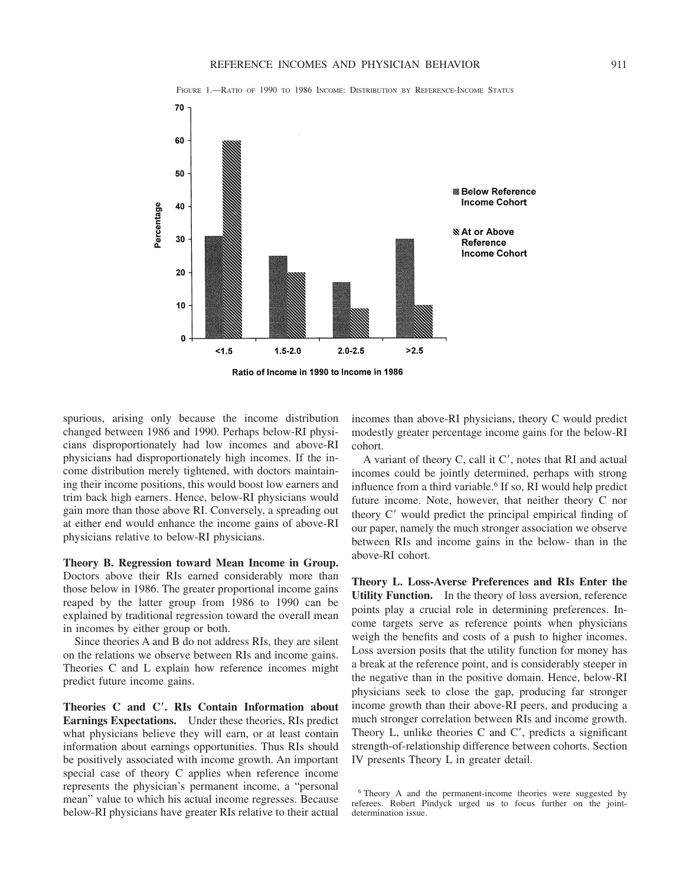

FIGURE 1.—RATIO OF 1990 TO 1986 INCOME: DISTRIBUTION BY REFERENCE-INCOME STATUS

spurious, arising only because the income distribution changed between 1986 and 1990. Perhaps below-RI physicians disproportionately had low incomes and above-RI physicians had disproportionately high incomes. If the income distribution merely tightened, with doctors maintaining their income positions, this would boost low earners and trim back high earners. Hence, below-RI physicians would gain more than those above RI. Conversely, a spreading out at either end would enhance the income gains of above-RI physicians relative to below-RI physicians.

**Theory B. Regression toward Mean Income in Group.** Doctors above their RIs earned considerably more than those below in 1986. The greater proportional income gains reaped by the latter group from 1986 to 1990 can be explained by traditional regression toward the overall mean in incomes by either group or both.

Since theories A and B do not address RIs, they are silent on the relations we observe between RIs and income gains. Theories C and L explain how reference incomes might predict future income gains.

**Theories C and C. RIs Contain Information about Earnings Expectations.** Under these theories, RIs predict what physicians believe they will earn, or at least contain information about earnings opportunities. Thus RIs should be positively associated with income growth. An important special case of theory C applies when reference income represents the physician's permanent income, a "personal mean" value to which his actual income regresses. Because below-RI physicians have greater RIs relative to their actual incomes than above-RI physicians, theory C would predict modestly greater percentage income gains for the below-RI cohort.

A variant of theory C, call it C', notes that RI and actual incomes could be jointly determined, perhaps with strong influence from a third variable.6 If so, RI would help predict future income. Note, however, that neither theory C nor theory C' would predict the principal empirical finding of our paper, namely the much stronger association we observe between RIs and income gains in the below- than in the above-RI cohort.

**Theory L. Loss-Averse Preferences and RIs Enter the Utility Function.** In the theory of loss aversion, reference points play a crucial role in determining preferences. Income targets serve as reference points when physicians weigh the benefits and costs of a push to higher incomes. Loss aversion posits that the utility function for money has a break at the reference point, and is considerably steeper in the negative than in the positive domain. Hence, below-RI physicians seek to close the gap, producing far stronger income growth than their above-RI peers, and producing a much stronger correlation between RIs and income growth. Theory  $L$ , unlike theories  $C$  and  $C'$ , predicts a significant strength-of-relationship difference between cohorts. Section IV presents Theory L in greater detail.

<sup>6</sup> Theory A and the permanent-income theories were suggested by referees. Robert Pindyck urged us to focus further on the jointdetermination issue.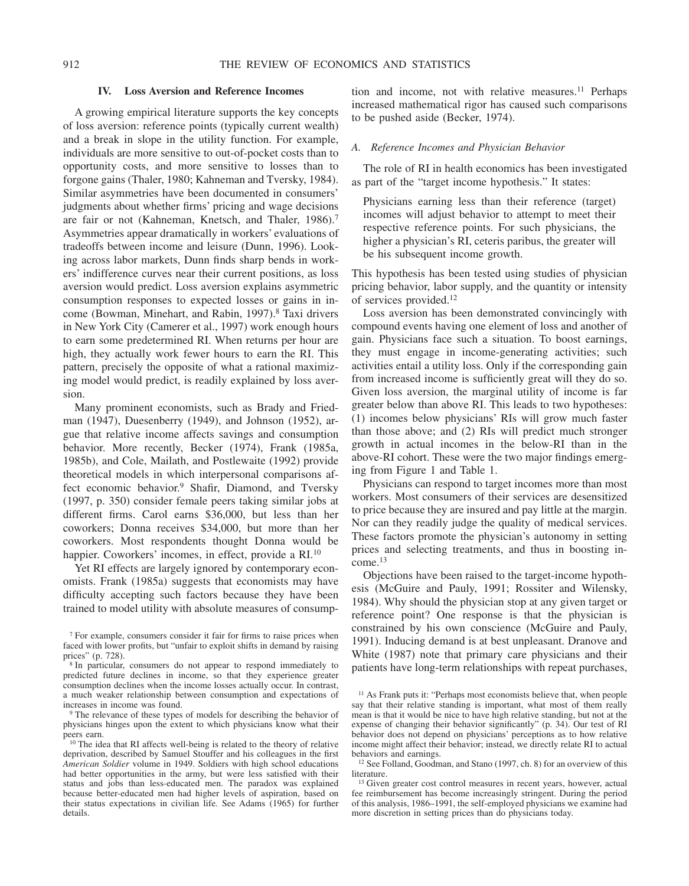#### **IV. Loss Aversion and Reference Incomes**

A growing empirical literature supports the key concepts of loss aversion: reference points (typically current wealth) and a break in slope in the utility function. For example, individuals are more sensitive to out-of-pocket costs than to opportunity costs, and more sensitive to losses than to forgone gains (Thaler, 1980; Kahneman and Tversky, 1984). Similar asymmetries have been documented in consumers' judgments about whether firms' pricing and wage decisions are fair or not (Kahneman, Knetsch, and Thaler, 1986).<sup>7</sup> Asymmetries appear dramatically in workers' evaluations of tradeoffs between income and leisure (Dunn, 1996). Looking across labor markets, Dunn finds sharp bends in workers' indifference curves near their current positions, as loss aversion would predict. Loss aversion explains asymmetric consumption responses to expected losses or gains in income (Bowman, Minehart, and Rabin, 1997).<sup>8</sup> Taxi drivers in New York City (Camerer et al., 1997) work enough hours to earn some predetermined RI. When returns per hour are high, they actually work fewer hours to earn the RI. This pattern, precisely the opposite of what a rational maximizing model would predict, is readily explained by loss aversion.

Many prominent economists, such as Brady and Friedman (1947), Duesenberry (1949), and Johnson (1952), argue that relative income affects savings and consumption behavior. More recently, Becker (1974), Frank (1985a, 1985b), and Cole, Mailath, and Postlewaite (1992) provide theoretical models in which interpersonal comparisons affect economic behavior.9 Shafir, Diamond, and Tversky (1997, p. 350) consider female peers taking similar jobs at different firms. Carol earns \$36,000, but less than her coworkers; Donna receives \$34,000, but more than her coworkers. Most respondents thought Donna would be happier. Coworkers' incomes, in effect, provide a RI.<sup>10</sup>

Yet RI effects are largely ignored by contemporary economists. Frank (1985a) suggests that economists may have difficulty accepting such factors because they have been trained to model utility with absolute measures of consumption and income, not with relative measures.<sup>11</sup> Perhaps increased mathematical rigor has caused such comparisons to be pushed aside (Becker, 1974).

### *A. Reference Incomes and Physician Behavior*

The role of RI in health economics has been investigated as part of the "target income hypothesis." It states:

Physicians earning less than their reference (target) incomes will adjust behavior to attempt to meet their respective reference points. For such physicians, the higher a physician's RI, ceteris paribus, the greater will be his subsequent income growth.

This hypothesis has been tested using studies of physician pricing behavior, labor supply, and the quantity or intensity of services provided.12

Loss aversion has been demonstrated convincingly with compound events having one element of loss and another of gain. Physicians face such a situation. To boost earnings, they must engage in income-generating activities; such activities entail a utility loss. Only if the corresponding gain from increased income is sufficiently great will they do so. Given loss aversion, the marginal utility of income is far greater below than above RI. This leads to two hypotheses: (1) incomes below physicians' RIs will grow much faster than those above; and (2) RIs will predict much stronger growth in actual incomes in the below-RI than in the above-RI cohort. These were the two major findings emerging from Figure 1 and Table 1.

Physicians can respond to target incomes more than most workers. Most consumers of their services are desensitized to price because they are insured and pay little at the margin. Nor can they readily judge the quality of medical services. These factors promote the physician's autonomy in setting prices and selecting treatments, and thus in boosting income.13

Objections have been raised to the target-income hypothesis (McGuire and Pauly, 1991; Rossiter and Wilensky, 1984). Why should the physician stop at any given target or reference point? One response is that the physician is constrained by his own conscience (McGuire and Pauly, 1991). Inducing demand is at best unpleasant. Dranove and White (1987) note that primary care physicians and their patients have long-term relationships with repeat purchases,

<sup>12</sup> See Folland, Goodman, and Stano (1997, ch. 8) for an overview of this literature.

<sup>7</sup> For example, consumers consider it fair for firms to raise prices when faced with lower profits, but "unfair to exploit shifts in demand by raising prices" (p. 728).

<sup>8</sup> In particular, consumers do not appear to respond immediately to predicted future declines in income, so that they experience greater consumption declines when the income losses actually occur. In contrast, a much weaker relationship between consumption and expectations of increases in income was found.

<sup>&</sup>lt;sup>9</sup> The relevance of these types of models for describing the behavior of physicians hinges upon the extent to which physicians know what their peers earn.

<sup>&</sup>lt;sup>10</sup> The idea that RI affects well-being is related to the theory of relative deprivation, described by Samuel Stouffer and his colleagues in the first *American Soldier* volume in 1949. Soldiers with high school educations had better opportunities in the army, but were less satisfied with their status and jobs than less-educated men. The paradox was explained because better-educated men had higher levels of aspiration, based on their status expectations in civilian life. See Adams (1965) for further details.

<sup>&</sup>lt;sup>11</sup> As Frank puts it: "Perhaps most economists believe that, when people say that their relative standing is important, what most of them really mean is that it would be nice to have high relative standing, but not at the expense of changing their behavior significantly" (p. 34). Our test of RI behavior does not depend on physicians' perceptions as to how relative income might affect their behavior; instead, we directly relate RI to actual behaviors and earnings.

<sup>&</sup>lt;sup>13</sup> Given greater cost control measures in recent years, however, actual fee reimbursement has become increasingly stringent. During the period of this analysis, 1986–1991, the self-employed physicians we examine had more discretion in setting prices than do physicians today.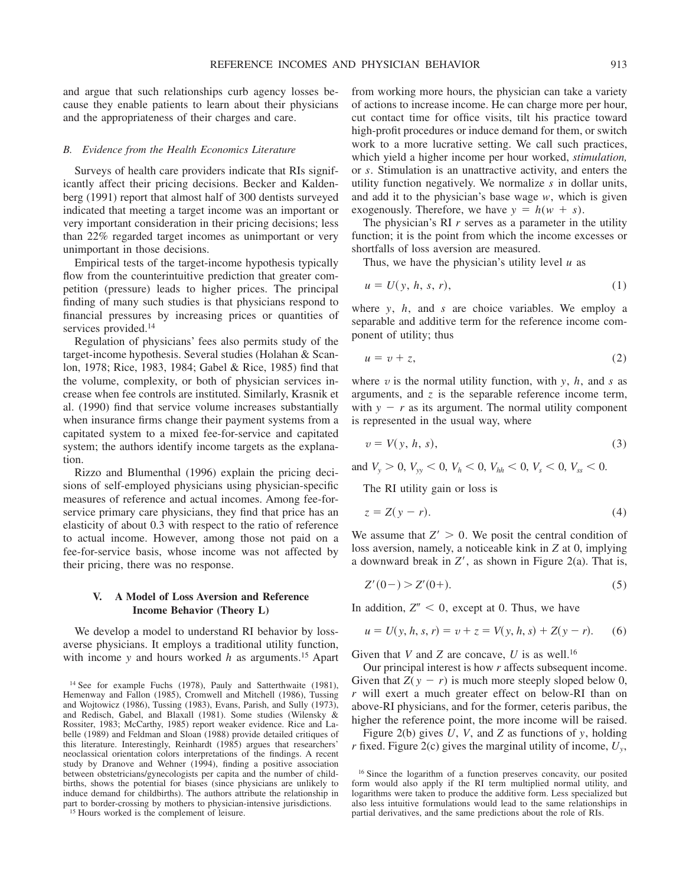and argue that such relationships curb agency losses because they enable patients to learn about their physicians and the appropriateness of their charges and care.

#### *B. Evidence from the Health Economics Literature*

Surveys of health care providers indicate that RIs significantly affect their pricing decisions. Becker and Kaldenberg (1991) report that almost half of 300 dentists surveyed indicated that meeting a target income was an important or very important consideration in their pricing decisions; less than 22% regarded target incomes as unimportant or very unimportant in those decisions.

Empirical tests of the target-income hypothesis typically flow from the counterintuitive prediction that greater competition (pressure) leads to higher prices. The principal finding of many such studies is that physicians respond to financial pressures by increasing prices or quantities of services provided.<sup>14</sup>

Regulation of physicians' fees also permits study of the target-income hypothesis. Several studies (Holahan & Scanlon, 1978; Rice, 1983, 1984; Gabel & Rice, 1985) find that the volume, complexity, or both of physician services increase when fee controls are instituted. Similarly, Krasnik et al. (1990) find that service volume increases substantially when insurance firms change their payment systems from a capitated system to a mixed fee-for-service and capitated system; the authors identify income targets as the explanation.

Rizzo and Blumenthal (1996) explain the pricing decisions of self-employed physicians using physician-specific measures of reference and actual incomes. Among fee-forservice primary care physicians, they find that price has an elasticity of about 0.3 with respect to the ratio of reference to actual income. However, among those not paid on a fee-for-service basis, whose income was not affected by their pricing, there was no response.

# **V. A Model of Loss Aversion and Reference Income Behavior (Theory L)**

We develop a model to understand RI behavior by lossaverse physicians. It employs a traditional utility function, with income *y* and hours worked *h* as arguments.<sup>15</sup> Apart

<sup>15</sup> Hours worked is the complement of leisure.

from working more hours, the physician can take a variety of actions to increase income. He can charge more per hour, cut contact time for office visits, tilt his practice toward high-profit procedures or induce demand for them, or switch work to a more lucrative setting. We call such practices, which yield a higher income per hour worked, *stimulation,* or *s*. Stimulation is an unattractive activity, and enters the utility function negatively. We normalize *s* in dollar units, and add it to the physician's base wage *w*, which is given exogenously. Therefore, we have  $y = h(w + s)$ .

The physician's RI *r* serves as a parameter in the utility function; it is the point from which the income excesses or shortfalls of loss aversion are measured.

Thus, we have the physician's utility level *u* as

$$
u = U(y, h, s, r), \tag{1}
$$

where *y*, *h*, and *s* are choice variables. We employ a separable and additive term for the reference income component of utility; thus

$$
u = v + z,\tag{2}
$$

where  $v$  is the normal utility function, with  $y$ ,  $h$ , and  $s$  as arguments, and *z* is the separable reference income term, with  $y - r$  as its argument. The normal utility component is represented in the usual way, where

$$
v = V(y, h, s), \tag{3}
$$

and  $V_y > 0$ ,  $V_{yy} < 0$ ,  $V_h < 0$ ,  $V_{hh} < 0$ ,  $V_s < 0$ ,  $V_{ss} < 0$ .

The RI utility gain or loss is

$$
z = Z(y - r). \tag{4}
$$

We assume that  $Z' > 0$ . We posit the central condition of loss aversion, namely, a noticeable kink in *Z* at 0, implying a downward break in  $Z'$ , as shown in Figure 2(a). That is,

$$
Z'(0-) > Z'(0+).
$$
 (5)

In addition,  $Z'' < 0$ , except at 0. Thus, we have

$$
u = U(y, h, s, r) = v + z = V(y, h, s) + Z(y - r).
$$
 (6)

Given that *V* and *Z* are concave, *U* is as well.16

Our principal interest is how *r* affects subsequent income. Given that  $Z(y - r)$  is much more steeply sloped below 0, *r* will exert a much greater effect on below-RI than on above-RI physicians, and for the former, ceteris paribus, the higher the reference point, the more income will be raised.

Figure 2(b) gives *U*, *V*, and *Z* as functions of *y*, holding *r* fixed. Figure 2(c) gives the marginal utility of income, *Uy*,

<sup>&</sup>lt;sup>14</sup> See for example Fuchs (1978), Pauly and Satterthwaite (1981), Hemenway and Fallon (1985), Cromwell and Mitchell (1986), Tussing and Wojtowicz (1986), Tussing (1983), Evans, Parish, and Sully (1973), and Redisch, Gabel, and Blaxall (1981). Some studies (Wilensky & Rossiter, 1983; McCarthy, 1985) report weaker evidence. Rice and Labelle (1989) and Feldman and Sloan (1988) provide detailed critiques of this literature. Interestingly, Reinhardt (1985) argues that researchers' neoclassical orientation colors interpretations of the findings. A recent study by Dranove and Wehner (1994), finding a positive association between obstetricians/gynecologists per capita and the number of childbirths, shows the potential for biases (since physicians are unlikely to induce demand for childbirths). The authors attribute the relationship in part to border-crossing by mothers to physician-intensive jurisdictions.

<sup>16</sup> Since the logarithm of a function preserves concavity, our posited form would also apply if the RI term multiplied normal utility, and logarithms were taken to produce the additive form. Less specialized but also less intuitive formulations would lead to the same relationships in partial derivatives, and the same predictions about the role of RIs.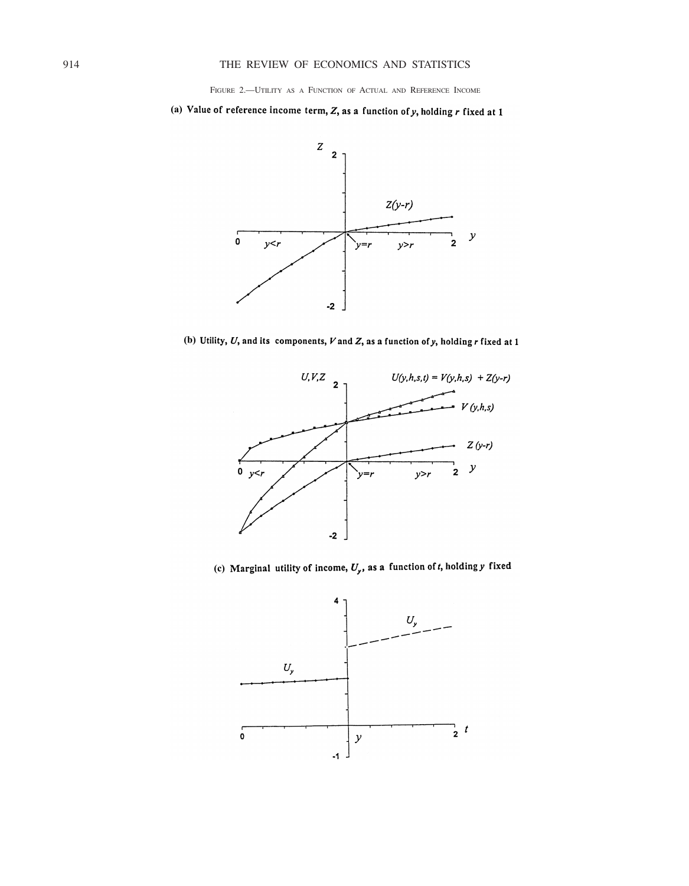FIGURE 2.—UTILITY AS A FUNCTION OF ACTUAL AND REFERENCE INCOME

(a) Value of reference income term,  $Z$ , as a function of  $y$ , holding  $r$  fixed at 1



(b) Utility,  $U$ , and its components,  $V$  and  $Z$ , as a function of  $y$ , holding  $r$  fixed at 1



(c) Marginal utility of income,  $U_y$ , as a function of t, holding y fixed

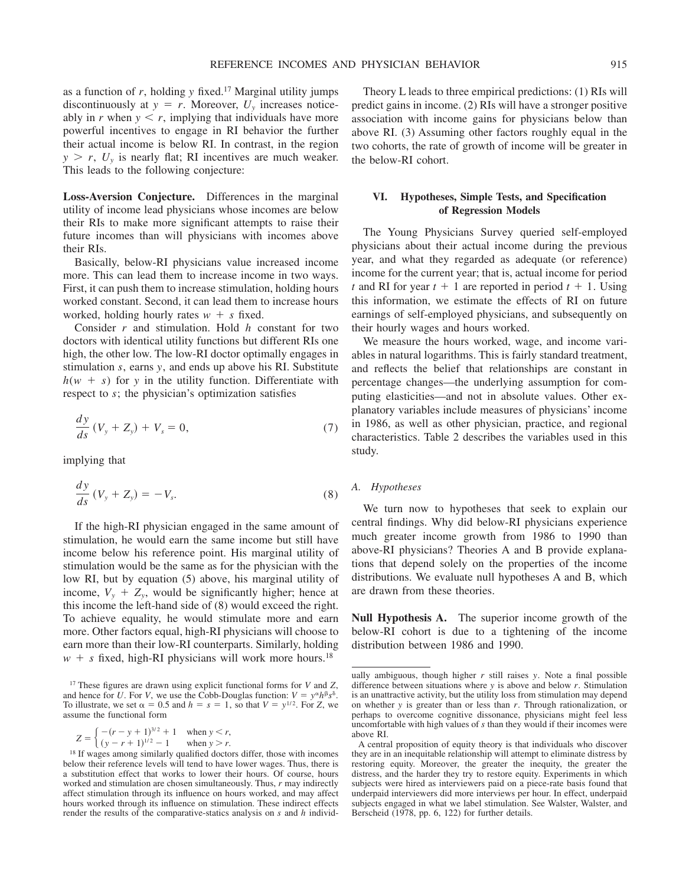as a function of  $r$ , holding  $\gamma$  fixed.<sup>17</sup> Marginal utility jumps discontinuously at  $y = r$ . Moreover,  $U_y$  increases noticeably in *r* when  $y \le r$ , implying that individuals have more powerful incentives to engage in RI behavior the further their actual income is below RI. In contrast, in the region  $y > r$ ,  $U_y$  is nearly flat; RI incentives are much weaker. This leads to the following conjecture:

**Loss-Aversion Conjecture.** Differences in the marginal utility of income lead physicians whose incomes are below their RIs to make more significant attempts to raise their future incomes than will physicians with incomes above their RIs.

Basically, below-RI physicians value increased income more. This can lead them to increase income in two ways. First, it can push them to increase stimulation, holding hours worked constant. Second, it can lead them to increase hours worked, holding hourly rates  $w + s$  fixed.

Consider *r* and stimulation. Hold *h* constant for two doctors with identical utility functions but different RIs one high, the other low. The low-RI doctor optimally engages in stimulation *s*, earns *y*, and ends up above his RI. Substitute  $h(w + s)$  for y in the utility function. Differentiate with respect to *s*; the physician's optimization satisfies

$$
\frac{dy}{ds}\left(V_{y}+Z_{y}\right)+V_{s}=0,\t\t(7)
$$

implying that

$$
\frac{dy}{ds}\left(V_{y}+Z_{y}\right)=-V_{s}.\tag{8}
$$

If the high-RI physician engaged in the same amount of stimulation, he would earn the same income but still have income below his reference point. His marginal utility of stimulation would be the same as for the physician with the low RI, but by equation (5) above, his marginal utility of income,  $V_y + Z_y$ , would be significantly higher; hence at this income the left-hand side of (8) would exceed the right. To achieve equality, he would stimulate more and earn more. Other factors equal, high-RI physicians will choose to earn more than their low-RI counterparts. Similarly, holding  $w + s$  fixed, high-RI physicians will work more hours.<sup>18</sup>

$$
Z = \begin{cases} -(r - y + 1)^{3/2} + 1 & \text{when } y < r, \\ (y - r + 1)^{1/2} - 1 & \text{when } y > r. \end{cases}
$$

Theory L leads to three empirical predictions: (1) RIs will predict gains in income. (2) RIs will have a stronger positive association with income gains for physicians below than above RI. (3) Assuming other factors roughly equal in the two cohorts, the rate of growth of income will be greater in the below-RI cohort.

# **VI. Hypotheses, Simple Tests, and Specification of Regression Models**

The Young Physicians Survey queried self-employed physicians about their actual income during the previous year, and what they regarded as adequate (or reference) income for the current year; that is, actual income for period *t* and RI for year  $t + 1$  are reported in period  $t + 1$ . Using this information, we estimate the effects of RI on future earnings of self-employed physicians, and subsequently on their hourly wages and hours worked.

We measure the hours worked, wage, and income variables in natural logarithms. This is fairly standard treatment, and reflects the belief that relationships are constant in percentage changes—the underlying assumption for computing elasticities—and not in absolute values. Other explanatory variables include measures of physicians' income in 1986, as well as other physician, practice, and regional characteristics. Table 2 describes the variables used in this study.

# *A. Hypotheses*

We turn now to hypotheses that seek to explain our central findings. Why did below-RI physicians experience much greater income growth from 1986 to 1990 than above-RI physicians? Theories A and B provide explanations that depend solely on the properties of the income distributions. We evaluate null hypotheses A and B, which are drawn from these theories.

**Null Hypothesis A.** The superior income growth of the below-RI cohort is due to a tightening of the income distribution between 1986 and 1990.

<sup>17</sup> These figures are drawn using explicit functional forms for *V* and *Z*, and hence for *U*. For *V*, we use the Cobb-Douglas function:  $V = y^{\alpha}h^{\beta}s^{\delta}$ . To illustrate, we set  $\alpha = 0.5$  and  $h = s = 1$ , so that  $V = y^{1/2}$ . For *Z*, we assume the functional form

<sup>&</sup>lt;sup>18</sup> If wages among similarly qualified doctors differ, those with incomes below their reference levels will tend to have lower wages. Thus, there is a substitution effect that works to lower their hours. Of course, hours worked and stimulation are chosen simultaneously. Thus, *r* may indirectly affect stimulation through its influence on hours worked, and may affect hours worked through its influence on stimulation. These indirect effects render the results of the comparative-statics analysis on *s* and *h* individ-

ually ambiguous, though higher *r* still raises *y*. Note a final possible difference between situations where *y* is above and below *r*. Stimulation is an unattractive activity, but the utility loss from stimulation may depend on whether *y* is greater than or less than *r*. Through rationalization, or perhaps to overcome cognitive dissonance, physicians might feel less uncomfortable with high values of *s* than they would if their incomes were above RI.

A central proposition of equity theory is that individuals who discover they are in an inequitable relationship will attempt to eliminate distress by restoring equity. Moreover, the greater the inequity, the greater the distress, and the harder they try to restore equity. Experiments in which subjects were hired as interviewers paid on a piece-rate basis found that underpaid interviewers did more interviews per hour. In effect, underpaid subjects engaged in what we label stimulation. See Walster, Walster, and Berscheid (1978, pp. 6, 122) for further details.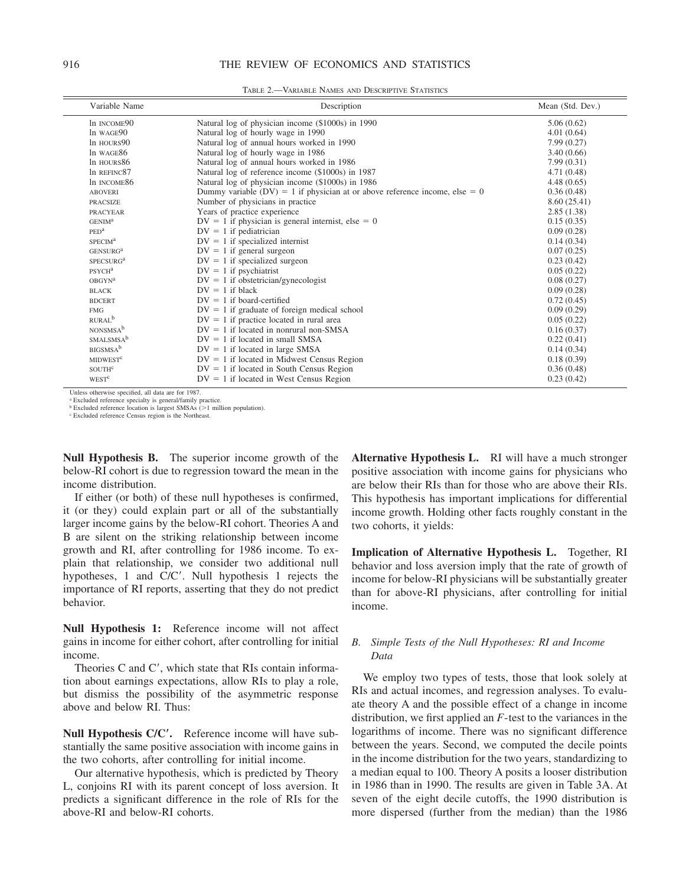TABLE 2.—VARIABLE NAMES AND DESCRIPTIVE STATISTICS

| Variable Name               | Description                                                                 | Mean (Std. Dev.) |
|-----------------------------|-----------------------------------------------------------------------------|------------------|
| In INCOME90                 | Natural log of physician income (\$1000s) in 1990                           | 5.06(0.62)       |
| $ln$ WAGE90                 | Natural log of hourly wage in 1990                                          | 4.01(0.64)       |
| In HOURS90                  | Natural log of annual hours worked in 1990                                  | 7.99(0.27)       |
| In WAGE86                   | Natural log of hourly wage in 1986                                          | 3.40(0.66)       |
| In HOURS86                  | Natural log of annual hours worked in 1986                                  | 7.99(0.31)       |
| In REFINC87                 | Natural log of reference income (\$1000s) in 1987                           | 4.71(0.48)       |
| In INCOME86                 | Natural log of physician income (\$1000s) in 1986                           | 4.48(0.65)       |
| <b>ABOVERI</b>              | Dummy variable (DV) = 1 if physician at or above reference income, else = 0 | 0.36(0.48)       |
| <b>PRACSIZE</b>             | Number of physicians in practice                                            | 8.60(25.41)      |
| <b>PRACYEAR</b>             | Years of practice experience                                                | 2.85(1.38)       |
| GENIM <sup>a</sup>          | $DV = 1$ if physician is general internist, else = 0                        | 0.15(0.35)       |
| PED <sup>a</sup>            | $DV = 1$ if pediatrician                                                    | 0.09(0.28)       |
| SPECIM <sup>a</sup>         | $DV = 1$ if specialized internist                                           | 0.14(0.34)       |
| GENSURG <sup>a</sup>        | $DV = 1$ if general surgeon                                                 | 0.07(0.25)       |
| SPECSURG <sup>a</sup>       | $DV = 1$ if specialized surgeon                                             | 0.23(0.42)       |
| <b>PSYCH<sup>a</sup></b>    | $DV = 1$ if psychiatrist                                                    | 0.05(0.22)       |
| OBGYN <sup>3</sup>          | $DV = 1$ if obstetrician/gynecologist                                       | 0.08(0.27)       |
| <b>BLACK</b>                | $DV = 1$ if black                                                           | 0.09(0.28)       |
| <b>BDCERT</b>               | $DV = 1$ if board-certified                                                 | 0.72(0.45)       |
| <b>FMG</b>                  | $DV = 1$ if graduate of foreign medical school                              | 0.09(0.29)       |
| RURAL <sup>b</sup>          | $DV = 1$ if practice located in rural area                                  | 0.05(0.22)       |
| NONSMSA <sup>b</sup>        | $DV = 1$ if located in nonrural non-SMSA                                    | 0.16(0.37)       |
| SMALSMSA <sup>b</sup>       | $DV = 1$ if located in small SMSA                                           | 0.22(0.41)       |
| <b>BIGSMSA</b> <sup>b</sup> | $DV = 1$ if located in large SMSA                                           | 0.14(0.34)       |
| <b>MIDWEST<sup>c</sup></b>  | $DV = 1$ if located in Midwest Census Region                                | 0.18(0.39)       |
| <b>SOUTH<sup>c</sup></b>    | $DV = 1$ if located in South Census Region                                  | 0.36(0.48)       |
| WEST <sup>c</sup>           | $DV = 1$ if located in West Census Region                                   | 0.23(0.42)       |

Unless otherwise specified, all data are for 1987.

<sup>a</sup> Excluded reference specialty is general/family practice.<br><sup>b</sup> Excluded reference location is largest SMSAs (>1 million population).

<sup>c</sup> Excluded reference Census region is the Northeast.

**Null Hypothesis B.** The superior income growth of the below-RI cohort is due to regression toward the mean in the income distribution.

If either (or both) of these null hypotheses is confirmed, it (or they) could explain part or all of the substantially larger income gains by the below-RI cohort. Theories A and B are silent on the striking relationship between income growth and RI, after controlling for 1986 income. To explain that relationship, we consider two additional null hypotheses, 1 and C/C'. Null hypothesis 1 rejects the importance of RI reports, asserting that they do not predict behavior.

**Null Hypothesis 1:** Reference income will not affect gains in income for either cohort, after controlling for initial income.

Theories C and C', which state that RIs contain information about earnings expectations, allow RIs to play a role, but dismiss the possibility of the asymmetric response above and below RI. Thus:

**Null Hypothesis C/C.** Reference income will have substantially the same positive association with income gains in the two cohorts, after controlling for initial income.

Our alternative hypothesis, which is predicted by Theory L, conjoins RI with its parent concept of loss aversion. It predicts a significant difference in the role of RIs for the above-RI and below-RI cohorts.

**Alternative Hypothesis L.** RI will have a much stronger positive association with income gains for physicians who are below their RIs than for those who are above their RIs. This hypothesis has important implications for differential income growth. Holding other facts roughly constant in the two cohorts, it yields:

**Implication of Alternative Hypothesis L.** Together, RI behavior and loss aversion imply that the rate of growth of income for below-RI physicians will be substantially greater than for above-RI physicians, after controlling for initial income.

# *B. Simple Tests of the Null Hypotheses: RI and Income Data*

We employ two types of tests, those that look solely at RIs and actual incomes, and regression analyses. To evaluate theory A and the possible effect of a change in income distribution, we first applied an *F*-test to the variances in the logarithms of income. There was no significant difference between the years. Second, we computed the decile points in the income distribution for the two years, standardizing to a median equal to 100. Theory A posits a looser distribution in 1986 than in 1990. The results are given in Table 3A. At seven of the eight decile cutoffs, the 1990 distribution is more dispersed (further from the median) than the 1986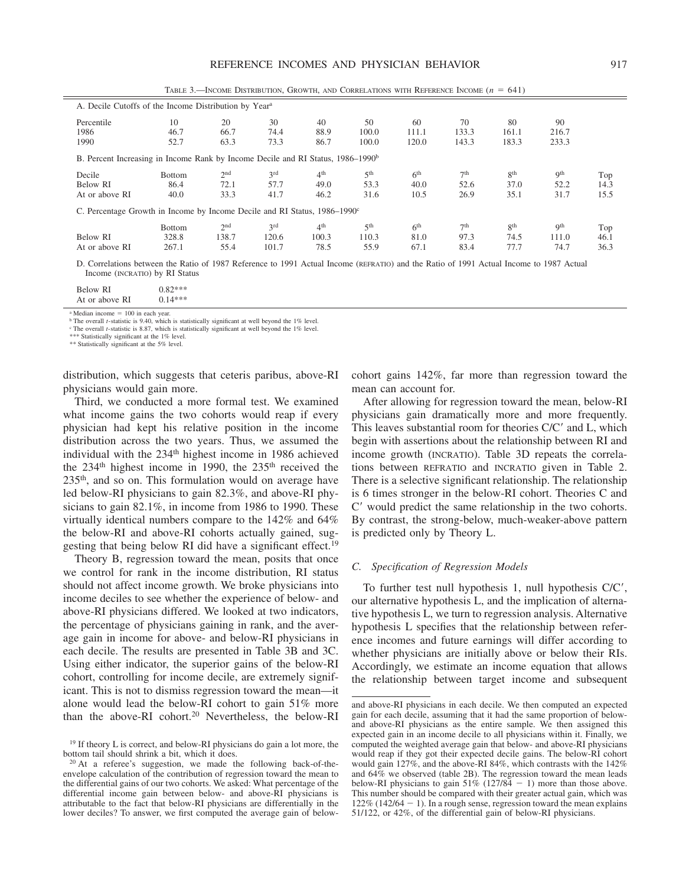| TABLE 3.—INCOME DISTRIBUTION, GROWTH, AND CORRELATIONS WITH REFERENCE INCOME $(n = 641)$ |                                                                                             |                 |       |                 |                 |                 |                 |             |            |      |
|------------------------------------------------------------------------------------------|---------------------------------------------------------------------------------------------|-----------------|-------|-----------------|-----------------|-----------------|-----------------|-------------|------------|------|
| A. Decile Cutoffs of the Income Distribution by Year <sup>a</sup>                        |                                                                                             |                 |       |                 |                 |                 |                 |             |            |      |
| Percentile                                                                               | 10                                                                                          | 20              | 30    | 40              | 50              | 60              | 70              | 80          | 90         |      |
| 1986                                                                                     | 46.7                                                                                        | 66.7            | 74.4  | 88.9            | 100.0           | 111.1           | 133.3           | 161.1       | 216.7      |      |
| 1990                                                                                     | 52.7                                                                                        | 63.3            | 73.3  | 86.7            | 100.0           | 120.0           | 143.3           | 183.3       | 233.3      |      |
|                                                                                          | B. Percent Increasing in Income Rank by Income Decile and RI Status, 1986–1990 <sup>b</sup> |                 |       |                 |                 |                 |                 |             |            |      |
| Decile                                                                                   | <b>Bottom</b>                                                                               | 2 <sup>nd</sup> | 3rd   | 4 <sup>th</sup> | 5 <sup>th</sup> | 6 <sup>th</sup> | 7 <sup>th</sup> | <b>g</b> th | <b>Qth</b> | Top  |
| Below RI                                                                                 | 86.4                                                                                        | 72.1            | 57.7  | 49.0            | 53.3            | 40.0            | 52.6            | 37.0        | 52.2       | 14.3 |
| At or above RI                                                                           | 40.0                                                                                        | 33.3            | 41.7  | 46.2            | 31.6            | 10.5            | 26.9            | 35.1        | 31.7       | 15.5 |
| C. Percentage Growth in Income by Income Decile and RI Status, $1986-1990^{\circ}$       |                                                                                             |                 |       |                 |                 |                 |                 |             |            |      |
|                                                                                          | <b>Bottom</b>                                                                               | 2 <sub>nd</sub> | 3rd   | 4 <sup>th</sup> | 5 <sup>th</sup> | 6 <sup>th</sup> | 7 <sup>th</sup> | <b>g</b> th | <b>Qth</b> | Top  |
| <b>Below RI</b>                                                                          | 328.8                                                                                       | 138.7           | 120.6 | 100.3           | 110.3           | 81.0            | 97.3            | 74.5        | 111.0      | 46.1 |
| At or above RI                                                                           | 267.1                                                                                       | 55.4            | 101.7 | 78.5            | 55.9            | 67.1            | 83.4            | 77.7        | 74.7       | 36.3 |

D. Correlations between the Ratio of 1987 Reference to 1991 Actual Income (REFRATIO) and the Ratio of 1991 Actual Income to 1987 Actual Income (INCRATIO) by RI Status

Below RI  $0.82***$ <br>At or above RI  $0.14***$ At or above RI

<sup>a</sup> Median income = 100 in each year.

 $=$ 

<sup>6</sup> The overall *t*-statistic is 9.40, which is statistically significant at well beyond the 1% level.<br><sup>c</sup> The overall *t*-statistic is 8.87, which is statistically significant at well beyond the 1% level.

\*\* Statistically significant at the 1% level. \*\* Statistically significant at the 5% level.

distribution, which suggests that ceteris paribus, above-RI physicians would gain more.

Third, we conducted a more formal test. We examined what income gains the two cohorts would reap if every physician had kept his relative position in the income distribution across the two years. Thus, we assumed the individual with the 234<sup>th</sup> highest income in 1986 achieved the  $234<sup>th</sup>$  highest income in 1990, the  $235<sup>th</sup>$  received the 235th, and so on. This formulation would on average have led below-RI physicians to gain 82.3%, and above-RI physicians to gain 82.1%, in income from 1986 to 1990. These virtually identical numbers compare to the 142% and 64% the below-RI and above-RI cohorts actually gained, suggesting that being below RI did have a significant effect.19

Theory B, regression toward the mean, posits that once we control for rank in the income distribution, RI status should not affect income growth. We broke physicians into income deciles to see whether the experience of below- and above-RI physicians differed. We looked at two indicators, the percentage of physicians gaining in rank, and the average gain in income for above- and below-RI physicians in each decile. The results are presented in Table 3B and 3C. Using either indicator, the superior gains of the below-RI cohort, controlling for income decile, are extremely significant. This is not to dismiss regression toward the mean—it alone would lead the below-RI cohort to gain 51% more than the above-RI cohort.<sup>20</sup> Nevertheless, the below-RI cohort gains 142%, far more than regression toward the mean can account for.

After allowing for regression toward the mean, below-RI physicians gain dramatically more and more frequently. This leaves substantial room for theories C/C' and L, which begin with assertions about the relationship between RI and income growth (INCRATIO). Table 3D repeats the correlations between REFRATIO and INCRATIO given in Table 2. There is a selective significant relationship. The relationship is 6 times stronger in the below-RI cohort. Theories C and C' would predict the same relationship in the two cohorts. By contrast, the strong-below, much-weaker-above pattern is predicted only by Theory L.

### *C. Specification of Regression Models*

To further test null hypothesis 1, null hypothesis C/C', our alternative hypothesis L, and the implication of alternative hypothesis L, we turn to regression analysis. Alternative hypothesis L specifies that the relationship between reference incomes and future earnings will differ according to whether physicians are initially above or below their RIs. Accordingly, we estimate an income equation that allows the relationship between target income and subsequent

 $19$  If theory L is correct, and below-RI physicians do gain a lot more, the bottom tail should shrink a bit, which it does.

<sup>&</sup>lt;sup>20</sup> At a referee's suggestion, we made the following back-of-theenvelope calculation of the contribution of regression toward the mean to the differential gains of our two cohorts. We asked: What percentage of the differential income gain between below- and above-RI physicians is attributable to the fact that below-RI physicians are differentially in the lower deciles? To answer, we first computed the average gain of below-

and above-RI physicians in each decile. We then computed an expected gain for each decile, assuming that it had the same proportion of belowand above-RI physicians as the entire sample. We then assigned this expected gain in an income decile to all physicians within it. Finally, we computed the weighted average gain that below- and above-RI physicians would reap if they got their expected decile gains. The below-RI cohort would gain 127%, and the above-RI 84%, which contrasts with the 142% and 64% we observed (table 2B). The regression toward the mean leads below-RI physicians to gain 51% (127/8 $\frac{3}{4}$  - 1) more than those above. This number should be compared with their greater actual gain, which was 122% (142/64  $-$  1). In a rough sense, regression toward the mean explains 51/122, or 42%, of the differential gain of below-RI physicians.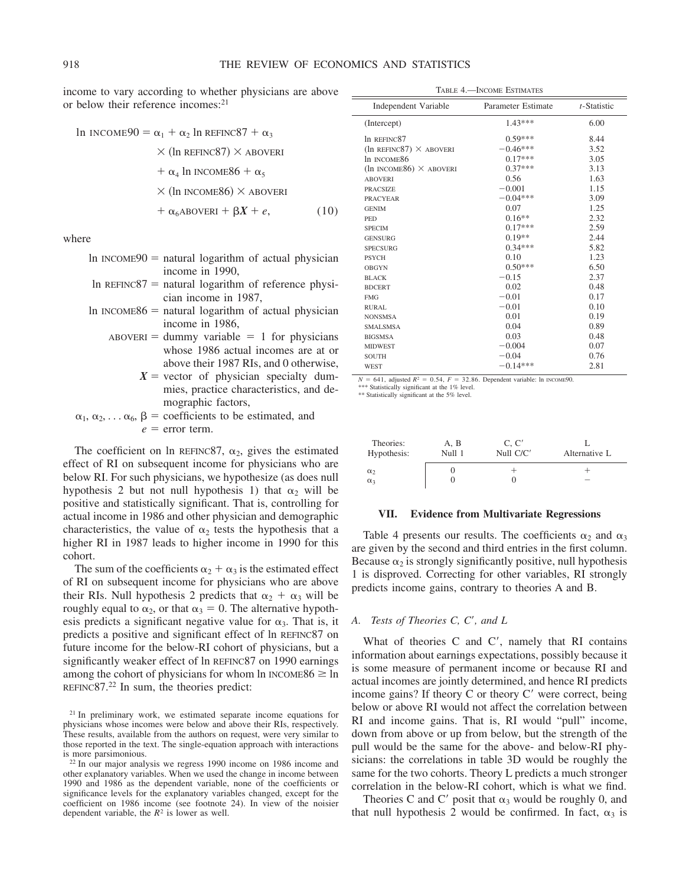income to vary according to whether physicians are above or below their reference incomes:<sup>21</sup>

In income  $90 = \alpha_1 + \alpha_2$  In refinc  $87 + \alpha_3$ 

$$
\times (\text{In refinc87}) \times \text{aboveri}
$$

- $+$   $\alpha_4$  ln INCOME86 +  $\alpha_5$
- $\times$  (ln INCOME86)  $\times$  ABOVERI

$$
+\alpha_6 \text{ABoverI} + \beta X + e, \qquad (10)
$$

where

- $ln$  INCOME $90$  = natural logarithm of actual physician income in 1990,
- $\ln$  REFINC87 = natural logarithm of reference physician income in 1987,
- $ln$  INCOME86 = natural logarithm of actual physician income in 1986,
	- $ABOVERI = dummy variable = 1$  for physicians whose 1986 actual incomes are at or above their 1987 RIs, and 0 otherwise,
		- $X =$  vector of physician specialty dummies, practice characteristics, and demographic factors,
- $\alpha_1, \alpha_2, \ldots \alpha_6, \beta$  = coefficients to be estimated, and  $e =$  error term.

The coefficient on ln REFINC87,  $\alpha_2$ , gives the estimated effect of RI on subsequent income for physicians who are below RI. For such physicians, we hypothesize (as does null hypothesis 2 but not null hypothesis 1) that  $\alpha_2$  will be positive and statistically significant. That is, controlling for actual income in 1986 and other physician and demographic characteristics, the value of  $\alpha_2$  tests the hypothesis that a higher RI in 1987 leads to higher income in 1990 for this cohort.

The sum of the coefficients  $\alpha_2 + \alpha_3$  is the estimated effect of RI on subsequent income for physicians who are above their RIs. Null hypothesis 2 predicts that  $\alpha_2 + \alpha_3$  will be roughly equal to  $\alpha_2$ , or that  $\alpha_3 = 0$ . The alternative hypothesis predicts a significant negative value for  $\alpha_3$ . That is, it predicts a positive and significant effect of ln REFINC87 on future income for the below-RI cohort of physicians, but a significantly weaker effect of ln REFINC87 on 1990 earnings among the cohort of physicians for whom ln INCOME86  $\geq$  ln REFINC87.22 In sum, the theories predict:

| TABLE 4.-INCOME ESTIMATES |  |
|---------------------------|--|
|---------------------------|--|

| $1.43***$<br>6.00<br>(Intercept)                       |  |
|--------------------------------------------------------|--|
| In REFINC87<br>$0.59***$<br>8.44                       |  |
| $-0.46***$<br>$(ln$ REFINC87) $\times$ ABOVERI<br>3.52 |  |
| $0.17***$<br>In INCOME86<br>3.05                       |  |
| $0.37***$<br>$(ln INCOME86) \times ABOVERI$<br>3.13    |  |
| 0.56<br>1.63<br><b>ABOVERI</b>                         |  |
| $-0.001$<br>1.15<br><b>PRACSIZE</b>                    |  |
| $-0.04***$<br>3.09<br><b>PRACYEAR</b>                  |  |
| 1.25<br>0.07<br><b>GENIM</b>                           |  |
| $0.16**$<br>2.32<br>PED                                |  |
| $0.17***$<br>2.59<br><b>SPECIM</b>                     |  |
| $0.19**$<br>2.44<br><b>GENSURG</b>                     |  |
| $0.34***$<br>5.82<br><b>SPECSURG</b>                   |  |
| 0.10<br>1.23<br><b>PSYCH</b>                           |  |
| $0.50***$<br>6.50<br><b>OBGYN</b>                      |  |
| 2.37<br>$-0.15$<br><b>BLACK</b>                        |  |
| 0.02<br>0.48<br><b>BDCERT</b>                          |  |
| $-0.01$<br>0.17<br><b>FMG</b>                          |  |
| $-0.01$<br>0.10<br><b>RURAL</b>                        |  |
| 0.01<br>0.19<br><b>NONSMSA</b>                         |  |
| 0.04<br>0.89<br><b>SMALSMSA</b>                        |  |
| 0.03<br>0.48<br><b>BIGSMSA</b>                         |  |
| $-0.004$<br>0.07<br><b>MIDWEST</b>                     |  |
| $-0.04$<br>0.76<br><b>SOUTH</b>                        |  |
| $-0.14***$<br>2.81<br>WEST                             |  |

 $N = 641$ , adjusted  $R^2 = 0.54$ ,  $F = 32.86$ . Dependent variable: ln INCOME90. \*\*\* Statistically significant at the 1% level.

\*\* Statistically significant at the 5% level.



### **VII. Evidence from Multivariate Regressions**

Table 4 presents our results. The coefficients  $\alpha_2$  and  $\alpha_3$ are given by the second and third entries in the first column. Because  $\alpha_2$  is strongly significantly positive, null hypothesis 1 is disproved. Correcting for other variables, RI strongly predicts income gains, contrary to theories A and B.

### *A. Tests of Theories C, C*-*, and L*

What of theories  $C$  and  $C'$ , namely that RI contains information about earnings expectations, possibly because it is some measure of permanent income or because RI and actual incomes are jointly determined, and hence RI predicts income gains? If theory C or theory C' were correct, being below or above RI would not affect the correlation between RI and income gains. That is, RI would "pull" income, down from above or up from below, but the strength of the pull would be the same for the above- and below-RI physicians: the correlations in table 3D would be roughly the same for the two cohorts. Theory L predicts a much stronger correlation in the below-RI cohort, which is what we find.

Theories C and C' posit that  $\alpha_3$  would be roughly 0, and that null hypothesis 2 would be confirmed. In fact,  $\alpha_3$  is

<sup>21</sup> In preliminary work, we estimated separate income equations for physicians whose incomes were below and above their RIs, respectively. These results, available from the authors on request, were very similar to those reported in the text. The single-equation approach with interactions is more parsimonious.

<sup>22</sup> In our major analysis we regress 1990 income on 1986 income and other explanatory variables. When we used the change in income between 1990 and 1986 as the dependent variable, none of the coefficients or significance levels for the explanatory variables changed, except for the coefficient on 1986 income (see footnote 24). In view of the noisier dependent variable, the  $R^2$  is lower as well.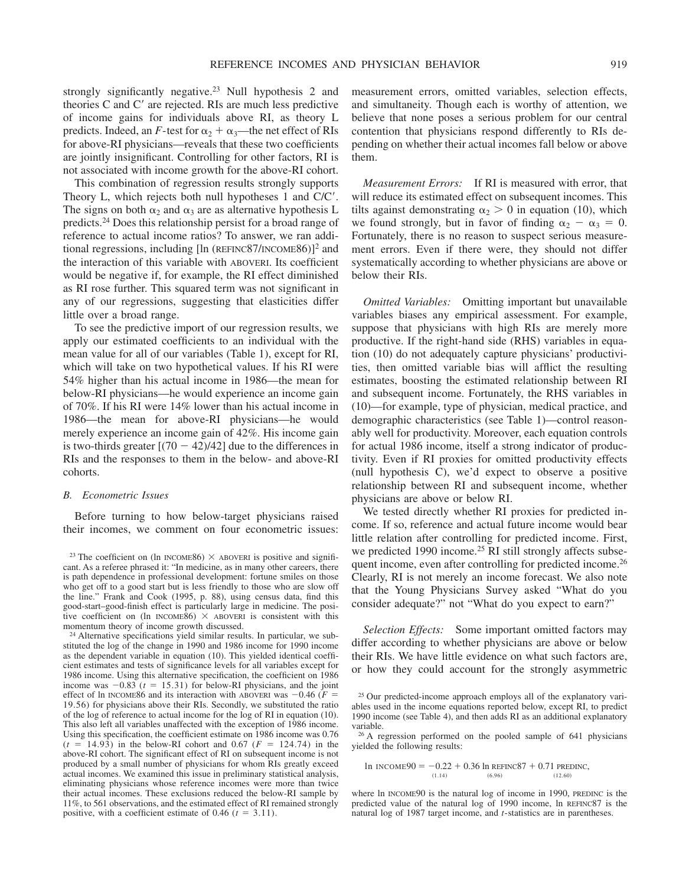strongly significantly negative.23 Null hypothesis 2 and theories C and C' are rejected. RIs are much less predictive of income gains for individuals above RI, as theory L predicts. Indeed, an *F*-test for  $\alpha_2 + \alpha_3$ —the net effect of RIs for above-RI physicians—reveals that these two coefficients are jointly insignificant. Controlling for other factors, RI is not associated with income growth for the above-RI cohort.

This combination of regression results strongly supports Theory L, which rejects both null hypotheses 1 and C/C'. The signs on both  $\alpha_2$  and  $\alpha_3$  are as alternative hypothesis L predicts.24 Does this relationship persist for a broad range of reference to actual income ratios? To answer, we ran additional regressions, including [ln (REFINC87/INCOME86)]2 and the interaction of this variable with ABOVERI. Its coefficient would be negative if, for example, the RI effect diminished as RI rose further. This squared term was not significant in any of our regressions, suggesting that elasticities differ little over a broad range.

To see the predictive import of our regression results, we apply our estimated coefficients to an individual with the mean value for all of our variables (Table 1), except for RI, which will take on two hypothetical values. If his RI were 54% higher than his actual income in 1986—the mean for below-RI physicians—he would experience an income gain of 70%. If his RI were 14% lower than his actual income in 1986—the mean for above-RI physicians—he would merely experience an income gain of 42%. His income gain is two-thirds greater  $[(70 - 42)/42]$  due to the differences in RIs and the responses to them in the below- and above-RI cohorts.

#### *B. Econometric Issues*

Before turning to how below-target physicians raised their incomes, we comment on four econometric issues:

<sup>24</sup> Alternative specifications yield similar results. In particular, we substituted the log of the change in 1990 and 1986 income for 1990 income as the dependent variable in equation (10). This yielded identical coefficient estimates and tests of significance levels for all variables except for 1986 income. Using this alternative specification, the coefficient on 1986 income was  $-0.83$  ( $t = 15.31$ ) for below-RI physicians, and the joint effect of ln INCOME86 and its interaction with ABOVERI was  $-0.46$  ( $F =$ 19.56) for physicians above their RIs. Secondly, we substituted the ratio of the log of reference to actual income for the log of RI in equation (10). This also left all variables unaffected with the exception of 1986 income. Using this specification, the coefficient estimate on 1986 income was 0.76  $(t = 14.93)$  in the below-RI cohort and 0.67 ( $F = 124.74$ ) in the above-RI cohort. The significant effect of RI on subsequent income is not produced by a small number of physicians for whom RIs greatly exceed actual incomes. We examined this issue in preliminary statistical analysis, eliminating physicians whose reference incomes were more than twice their actual incomes. These exclusions reduced the below-RI sample by 11%, to 561 observations, and the estimated effect of RI remained strongly positive, with a coefficient estimate of  $0.46$  ( $t = 3.11$ ).

measurement errors, omitted variables, selection effects, and simultaneity. Though each is worthy of attention, we believe that none poses a serious problem for our central contention that physicians respond differently to RIs depending on whether their actual incomes fall below or above them.

*Measurement Errors:* If RI is measured with error, that will reduce its estimated effect on subsequent incomes. This tilts against demonstrating  $\alpha_2 > 0$  in equation (10), which we found strongly, but in favor of finding  $\alpha_2 - \alpha_3 = 0$ . Fortunately, there is no reason to suspect serious measurement errors. Even if there were, they should not differ systematically according to whether physicians are above or below their RIs.

*Omitted Variables:* Omitting important but unavailable variables biases any empirical assessment. For example, suppose that physicians with high RIs are merely more productive. If the right-hand side (RHS) variables in equation (10) do not adequately capture physicians' productivities, then omitted variable bias will afflict the resulting estimates, boosting the estimated relationship between RI and subsequent income. Fortunately, the RHS variables in (10)—for example, type of physician, medical practice, and demographic characteristics (see Table 1)—control reasonably well for productivity. Moreover, each equation controls for actual 1986 income, itself a strong indicator of productivity. Even if RI proxies for omitted productivity effects (null hypothesis C), we'd expect to observe a positive relationship between RI and subsequent income, whether physicians are above or below RI.

We tested directly whether RI proxies for predicted income. If so, reference and actual future income would bear little relation after controlling for predicted income. First, we predicted 1990 income.<sup>25</sup> RI still strongly affects subsequent income, even after controlling for predicted income.<sup>26</sup> Clearly, RI is not merely an income forecast. We also note that the Young Physicians Survey asked "What do you consider adequate?" not "What do you expect to earn?"

*Selection Effects:* Some important omitted factors may differ according to whether physicians are above or below their RIs. We have little evidence on what such factors are, or how they could account for the strongly asymmetric

 $\ln$  income 90 =  $-0.22 + 0.36 \ln$  refinc 87 + 0.71 predinc,  $(1.14)$ 6.96  $(12.60)$ 

where ln INCOME90 is the natural log of income in 1990, PREDINC is the predicted value of the natural log of 1990 income, ln REFINC87 is the natural log of 1987 target income, and *t*-statistics are in parentheses.

<sup>&</sup>lt;sup>23</sup> The coefficient on (ln INCOME86)  $\times$  ABOVERI is positive and significant. As a referee phrased it: "In medicine, as in many other careers, there is path dependence in professional development: fortune smiles on those who get off to a good start but is less friendly to those who are slow off the line." Frank and Cook (1995, p. 88), using census data, find this good-start–good-finish effect is particularly large in medicine. The positive coefficient on (ln INCOME86)  $\times$  ABOVERI is consistent with this momentum theory of income growth discussed.

<sup>&</sup>lt;sup>25</sup> Our predicted-income approach employs all of the explanatory variables used in the income equations reported below, except RI, to predict 1990 income (see Table 4), and then adds RI as an additional explanatory variable.

<sup>26</sup> A regression performed on the pooled sample of 641 physicians yielded the following results: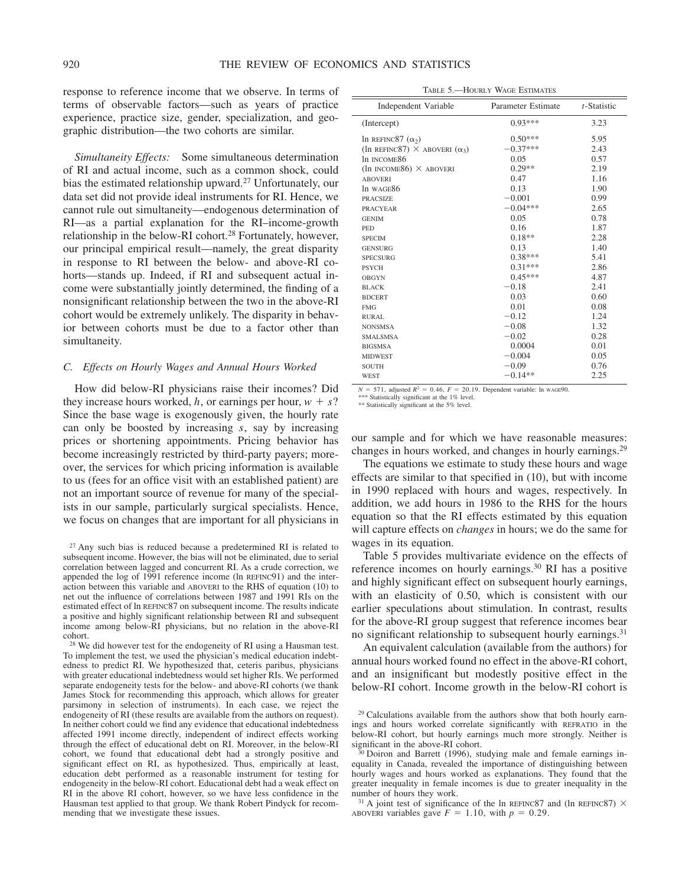response to reference income that we observe. In terms of terms of observable factors—such as years of practice experience, practice size, gender, specialization, and geographic distribution—the two cohorts are similar.

*Simultaneity Effects:* Some simultaneous determination of RI and actual income, such as a common shock, could bias the estimated relationship upward.27 Unfortunately, our data set did not provide ideal instruments for RI. Hence, we cannot rule out simultaneity—endogenous determination of RI—as a partial explanation for the RI–income-growth relationship in the below-RI cohort.28 Fortunately, however, our principal empirical result—namely, the great disparity in response to RI between the below- and above-RI cohorts—stands up. Indeed, if RI and subsequent actual income were substantially jointly determined, the finding of a nonsignificant relationship between the two in the above-RI cohort would be extremely unlikely. The disparity in behavior between cohorts must be due to a factor other than simultaneity.

## *C. Effects on Hourly Wages and Annual Hours Worked*

How did below-RI physicians raise their incomes? Did they increase hours worked, *h*, or earnings per hour,  $w + s$ ? Since the base wage is exogenously given, the hourly rate can only be boosted by increasing *s*, say by increasing prices or shortening appointments. Pricing behavior has become increasingly restricted by third-party payers; moreover, the services for which pricing information is available to us (fees for an office visit with an established patient) are not an important source of revenue for many of the specialists in our sample, particularly surgical specialists. Hence, we focus on changes that are important for all physicians in

|  |  |  |  | TABLE 5.—HOURLY WAGE ESTIMATES |
|--|--|--|--|--------------------------------|
|--|--|--|--|--------------------------------|

| Independent Variable                          | Parameter Estimate | $t$ -Statistic |
|-----------------------------------------------|--------------------|----------------|
| (Intercept)                                   | $0.93***$          | 3.23           |
| In REFINC87 $(\alpha_2)$                      | $0.50***$          | 5.95           |
| (ln REFINC87) $\times$ ABOVERI ( $\alpha_3$ ) | $-0.37***$         | 2.43           |
| In INCOME86                                   | 0.05               | 0.57           |
| $(ln INCOME86) \times ABOVERI$                | $0.29**$           | 2.19           |
| <b>ABOVERI</b>                                | 0.47               | 1.16           |
| $ln$ WAGE86                                   | 0.13               | 1.90           |
| <b>PRACSIZE</b>                               | $-0.001$           | 0.99           |
| <b>PRACYEAR</b>                               | $-0.04***$         | 2.65           |
| <b>GENIM</b>                                  | 0.05               | 0.78           |
| <b>PED</b>                                    | 0.16               | 1.87           |
| <b>SPECIM</b>                                 | $0.18**$           | 2.28           |
| <b>GENSURG</b>                                | 0.13               | 1.40           |
| <b>SPECSURG</b>                               | $0.38***$          | 5.41           |
| <b>PSYCH</b>                                  | $0.31***$          | 2.86           |
| <b>OBGYN</b>                                  | $0.45***$          | 4.87           |
| <b>BLACK</b>                                  | $-0.18$            | 2.41           |
| <b>BDCERT</b>                                 | 0.03               | 0.60           |
| <b>FMG</b>                                    | 0.01               | 0.08           |
| <b>RURAL</b>                                  | $-0.12$            | 1.24           |
| <b>NONSMSA</b>                                | $-0.08$            | 1.32           |
| <b>SMALSMSA</b>                               | $-0.02$            | 0.28           |
| <b>BIGSMSA</b>                                | 0.0004             | 0.01           |
| <b>MIDWEST</b>                                | $-0.004$           | 0.05           |
| <b>SOUTH</b>                                  | $-0.09$            | 0.76           |
| WEST                                          | $-0.14**$          | 2.25           |

 $N = 571$ , adjusted  $R^2 = 0.46$ ,  $F = 20.19$ . Dependent variable: ln WAGE90.

\*\*\* Statistically significant at the 1% level. \*\* Statistically significant at the 5% level.

our sample and for which we have reasonable measures:

changes in hours worked, and changes in hourly earnings.29

The equations we estimate to study these hours and wage effects are similar to that specified in (10), but with income in 1990 replaced with hours and wages, respectively. In addition, we add hours in 1986 to the RHS for the hours equation so that the RI effects estimated by this equation will capture effects on *changes* in hours; we do the same for wages in its equation.

Table 5 provides multivariate evidence on the effects of reference incomes on hourly earnings.30 RI has a positive and highly significant effect on subsequent hourly earnings, with an elasticity of 0.50, which is consistent with our earlier speculations about stimulation. In contrast, results for the above-RI group suggest that reference incomes bear no significant relationship to subsequent hourly earnings.<sup>31</sup>

An equivalent calculation (available from the authors) for annual hours worked found no effect in the above-RI cohort, and an insignificant but modestly positive effect in the below-RI cohort. Income growth in the below-RI cohort is

<sup>&</sup>lt;sup>27</sup> Any such bias is reduced because a predetermined RI is related to subsequent income. However, the bias will not be eliminated, due to serial correlation between lagged and concurrent RI. As a crude correction, we appended the log of 1991 reference income (ln REFINC91) and the interaction between this variable and ABOVERI to the RHS of equation (10) to net out the influence of correlations between 1987 and 1991 RIs on the estimated effect of ln REFINC87 on subsequent income. The results indicate a positive and highly significant relationship between RI and subsequent income among below-RI physicians, but no relation in the above-RI cohort.

<sup>28</sup> We did however test for the endogeneity of RI using a Hausman test. To implement the test, we used the physician's medical education indebtedness to predict RI. We hypothesized that, ceteris paribus, physicians with greater educational indebtedness would set higher RIs. We performed separate endogeneity tests for the below- and above-RI cohorts (we thank James Stock for recommending this approach, which allows for greater parsimony in selection of instruments). In each case, we reject the endogeneity of RI (these results are available from the authors on request). In neither cohort could we find any evidence that educational indebtedness affected 1991 income directly, independent of indirect effects working through the effect of educational debt on RI. Moreover, in the below-RI cohort, we found that educational debt had a strongly positive and significant effect on RI, as hypothesized. Thus, empirically at least, education debt performed as a reasonable instrument for testing for endogeneity in the below-RI cohort. Educational debt had a weak effect on RI in the above RI cohort, however, so we have less confidence in the Hausman test applied to that group. We thank Robert Pindyck for recommending that we investigate these issues.

<sup>&</sup>lt;sup>29</sup> Calculations available from the authors show that both hourly earnings and hours worked correlate significantly with REFRATIO in the below-RI cohort, but hourly earnings much more strongly. Neither is significant in the above-RI cohort.

Doiron and Barrett (1996), studying male and female earnings inequality in Canada, revealed the importance of distinguishing between hourly wages and hours worked as explanations. They found that the greater inequality in female incomes is due to greater inequality in the number of hours they work.

<sup>&</sup>lt;sup>31</sup> A joint test of significance of the ln REFINC87 and (ln REFINC87)  $\times$ ABOVERI variables gave  $F = 1.10$ , with  $p = 0.29$ .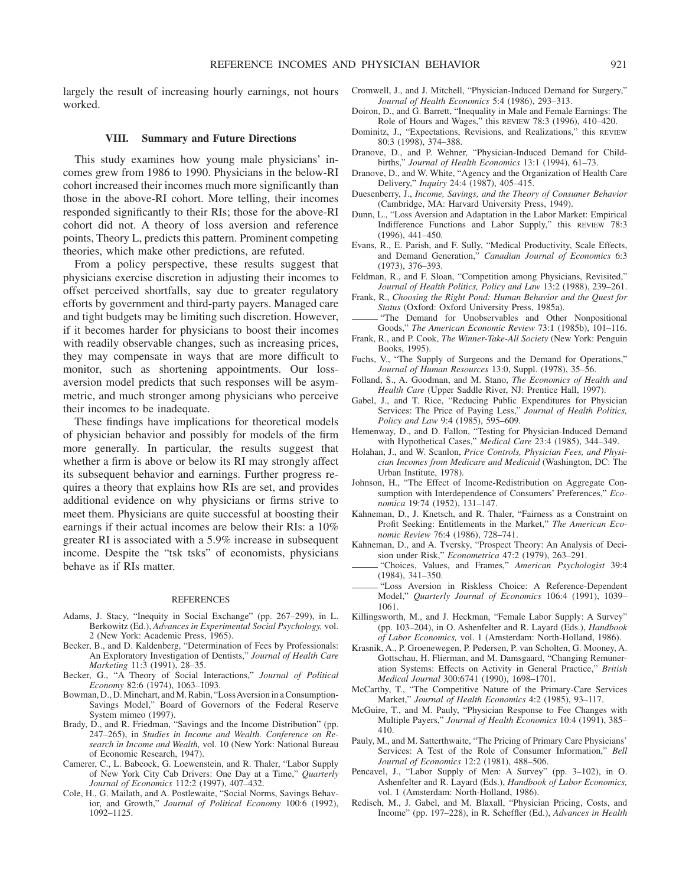largely the result of increasing hourly earnings, not hours worked.

#### **VIII. Summary and Future Directions**

This study examines how young male physicians' incomes grew from 1986 to 1990. Physicians in the below-RI cohort increased their incomes much more significantly than those in the above-RI cohort. More telling, their incomes responded significantly to their RIs; those for the above-RI cohort did not. A theory of loss aversion and reference points, Theory L, predicts this pattern. Prominent competing theories, which make other predictions, are refuted.

From a policy perspective, these results suggest that physicians exercise discretion in adjusting their incomes to offset perceived shortfalls, say due to greater regulatory efforts by government and third-party payers. Managed care and tight budgets may be limiting such discretion. However, if it becomes harder for physicians to boost their incomes with readily observable changes, such as increasing prices, they may compensate in ways that are more difficult to monitor, such as shortening appointments. Our lossaversion model predicts that such responses will be asymmetric, and much stronger among physicians who perceive their incomes to be inadequate.

These findings have implications for theoretical models of physician behavior and possibly for models of the firm more generally. In particular, the results suggest that whether a firm is above or below its RI may strongly affect its subsequent behavior and earnings. Further progress requires a theory that explains how RIs are set, and provides additional evidence on why physicians or firms strive to meet them. Physicians are quite successful at boosting their earnings if their actual incomes are below their RIs: a 10% greater RI is associated with a 5.9% increase in subsequent income. Despite the "tsk tsks" of economists, physicians behave as if RIs matter.

#### REFERENCES

- Adams, J. Stacy, "Inequity in Social Exchange" (pp. 267–299), in L. Berkowitz (Ed.), *Advances in Experimental Social Psychology,* vol. 2 (New York: Academic Press, 1965).
- Becker, B., and D. Kaldenberg, "Determination of Fees by Professionals: An Exploratory Investigation of Dentists," *Journal of Health Care Marketing* 11:3 (1991), 28–35.
- Becker, G., "A Theory of Social Interactions," *Journal of Political Economy* 82:6 (1974), 1063–1093.
- Bowman, D., D. Minehart, and M. Rabin, "LossAversion in a Consumption-Savings Model," Board of Governors of the Federal Reserve System mimeo (1997).
- Brady, D., and R. Friedman, "Savings and the Income Distribution" (pp. 247–265), in *Studies in Income and Wealth. Conference on Research in Income and Wealth,* vol. 10 (New York: National Bureau of Economic Research, 1947).
- Camerer, C., L. Babcock, G. Loewenstein, and R. Thaler, "Labor Supply of New York City Cab Drivers: One Day at a Time," *Quarterly Journal of Economics* 112:2 (1997), 407–432.
- Cole, H., G. Mailath, and A. Postlewaite, "Social Norms, Savings Behavior, and Growth," *Journal of Political Economy* 100:6 (1992), 1092–1125.
- Cromwell, J., and J. Mitchell, "Physician-Induced Demand for Surgery," *Journal of Health Economics* 5:4 (1986), 293–313.
- Doiron, D., and G. Barrett, "Inequality in Male and Female Earnings: The Role of Hours and Wages," this REVIEW 78:3 (1996), 410–420.
- Dominitz, J., "Expectations, Revisions, and Realizations," this REVIEW 80:3 (1998), 374–388.
- Dranove, D., and P. Wehner, "Physician-Induced Demand for Childbirths," *Journal of Health Economics* 13:1 (1994), 61–73.
- Dranove, D., and W. White, "Agency and the Organization of Health Care Delivery," *Inquiry* 24:4 (1987), 405–415.
- Duesenberry, J., *Income, Savings, and the Theory of Consumer Behavior* (Cambridge, MA: Harvard University Press, 1949).
- Dunn, L., "Loss Aversion and Adaptation in the Labor Market: Empirical Indifference Functions and Labor Supply," this REVIEW 78:3 (1996), 441–450.
- Evans, R., E. Parish, and F. Sully, "Medical Productivity, Scale Effects, and Demand Generation," *Canadian Journal of Economics* 6:3 (1973), 376–393.
- Feldman, R., and F. Sloan, "Competition among Physicians, Revisited," *Journal of Health Politics, Policy and Law* 13:2 (1988), 239–261.
- Frank, R., *Choosing the Right Pond: Human Behavior and the Quest for Status* (Oxford: Oxford University Press, 1985a).
- "The Demand for Unobservables and Other Nonpositional Goods," *The American Economic Review* 73:1 (1985b), 101–116.
- Frank, R., and P. Cook, *The Winner-Take-All Society* (New York: Penguin Books, 1995).
- Fuchs, V., "The Supply of Surgeons and the Demand for Operations," *Journal of Human Resources* 13:0, Suppl. (1978), 35–56.
- Folland, S., A. Goodman, and M. Stano, *The Economics of Health and Health Care* (Upper Saddle River, NJ: Prentice Hall, 1997).
- Gabel, J., and T. Rice, "Reducing Public Expenditures for Physician Services: The Price of Paying Less," *Journal of Health Politics, Policy and Law* 9:4 (1985), 595–609.
- Hemenway, D., and D. Fallon, "Testing for Physician-Induced Demand with Hypothetical Cases," *Medical Care* 23:4 (1985), 344–349.
- Holahan, J., and W. Scanlon, *Price Controls, Physician Fees, and Physician Incomes from Medicare and Medicaid* (Washington, DC: The Urban Institute, 1978).
- Johnson, H., "The Effect of Income-Redistribution on Aggregate Consumption with Interdependence of Consumers' Preferences," *Economica* 19:74 (1952), 131–147.
- Kahneman, D., J. Knetsch, and R. Thaler, "Fairness as a Constraint on Profit Seeking: Entitlements in the Market," *The American Economic Review* 76:4 (1986), 728–741.
- Kahneman, D., and A. Tversky, "Prospect Theory: An Analysis of Decision under Risk," *Econometrica* 47:2 (1979), 263–291.
- "Choices, Values, and Frames," *American Psychologist* 39:4 (1984), 341–350.
- "Loss Aversion in Riskless Choice: A Reference-Dependent Model," *Quarterly Journal of Economics* 106:4 (1991), 1039– 1061.
- Killingsworth, M., and J. Heckman, "Female Labor Supply: A Survey" (pp. 103–204), in O. Ashenfelter and R. Layard (Eds.), *Handbook of Labor Economics,* vol. 1 (Amsterdam: North-Holland, 1986).
- Krasnik, A., P. Groenewegen, P. Pedersen, P. van Scholten, G. Mooney, A. Gottschau, H. Flierman, and M. Damsgaard, "Changing Remuneration Systems: Effects on Activity in General Practice," *British Medical Journal* 300:6741 (1990), 1698–1701.
- McCarthy, T., "The Competitive Nature of the Primary-Care Services Market," *Journal of Health Economics* 4:2 (1985), 93–117.
- McGuire, T., and M. Pauly, "Physician Response to Fee Changes with Multiple Payers," *Journal of Health Economics* 10:4 (1991), 385– 410.
- Pauly, M., and M. Satterthwaite, "The Pricing of Primary Care Physicians' Services: A Test of the Role of Consumer Information," *Bell Journal of Economics* 12:2 (1981), 488–506.
- Pencavel, J., "Labor Supply of Men: A Survey" (pp. 3–102), in O. Ashenfelter and R. Layard (Eds.), *Handbook of Labor Economics,* vol. 1 (Amsterdam: North-Holland, 1986).
- Redisch, M., J. Gabel, and M. Blaxall, "Physician Pricing, Costs, and Income" (pp. 197–228), in R. Scheffler (Ed.), *Advances in Health*